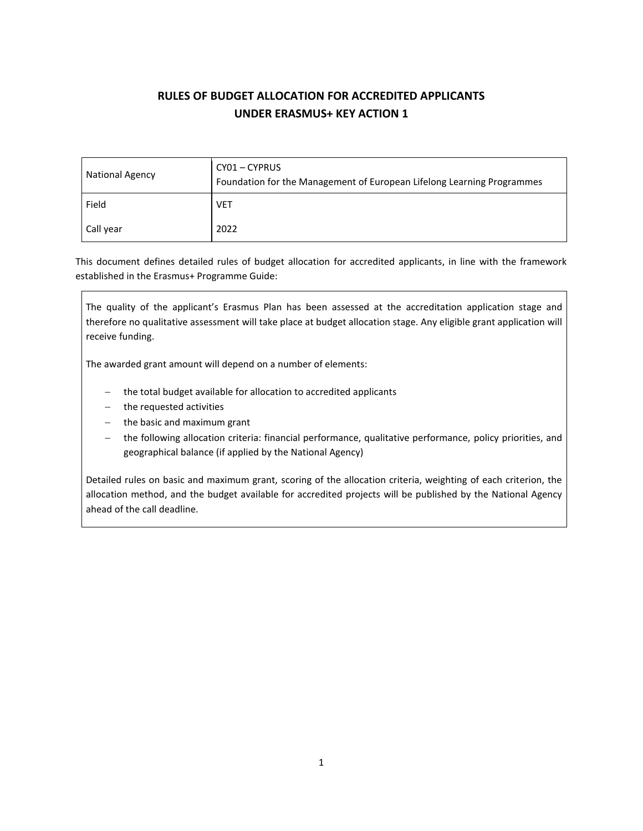# **RULES OF BUDGET ALLOCATION FOR ACCREDITED APPLICANTS UNDER ERASMUS+ KEY ACTION 1**

| <b>National Agency</b> | CY01 - CYPRUS<br>Foundation for the Management of European Lifelong Learning Programmes |  |
|------------------------|-----------------------------------------------------------------------------------------|--|
| Field                  | <b>VET</b>                                                                              |  |
| Call year              | 2022                                                                                    |  |

This document defines detailed rules of budget allocation for accredited applicants, in line with the framework established in the Erasmus+ Programme Guide:

The quality of the applicant's Erasmus Plan has been assessed at the accreditation application stage and therefore no qualitative assessment will take place at budget allocation stage. Any eligible grant application will receive funding.

The awarded grant amount will depend on a number of elements:

- − the total budget available for allocation to accredited applicants
- − the requested activities
- − the basic and maximum grant
- the following allocation criteria: financial performance, qualitative performance, policy priorities, and geographical balance (if applied by the National Agency)

Detailed rules on basic and maximum grant, scoring of the allocation criteria, weighting of each criterion, the allocation method, and the budget available for accredited projects will be published by the National Agency ahead of the call deadline.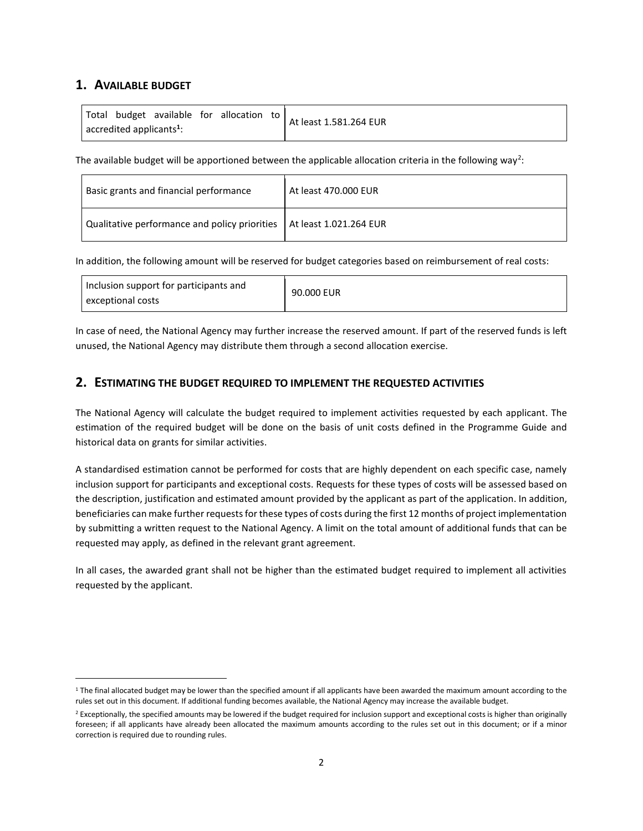# **1. AVAILABLE BUDGET**

| Total budget available for allocation to     |  | At least 1.581.264 EUR |
|----------------------------------------------|--|------------------------|
| $\vert$ accredited applicants <sup>1</sup> : |  |                        |

The available budget will be apportioned between the applicable allocation criteria in the following way<sup>2</sup>:

| Basic grants and financial performance                                 | At least 470,000 EUR |
|------------------------------------------------------------------------|----------------------|
| Qualitative performance and policy priorities   At least 1.021.264 EUR |                      |

In addition, the following amount will be reserved for budget categories based on reimbursement of real costs:

| Inclusion support for participants and<br>exceptional costs | 90.000 EUR |
|-------------------------------------------------------------|------------|
|-------------------------------------------------------------|------------|

In case of need, the National Agency may further increase the reserved amount. If part of the reserved funds is left unused, the National Agency may distribute them through a second allocation exercise.

# **2. ESTIMATING THE BUDGET REQUIRED TO IMPLEMENT THE REQUESTED ACTIVITIES**

The National Agency will calculate the budget required to implement activities requested by each applicant. The estimation of the required budget will be done on the basis of unit costs defined in the Programme Guide and historical data on grants for similar activities.

A standardised estimation cannot be performed for costs that are highly dependent on each specific case, namely inclusion support for participants and exceptional costs. Requests for these types of costs will be assessed based on the description, justification and estimated amount provided by the applicant as part of the application. In addition, beneficiaries can make further requests for these types of costs during the first 12 months of project implementation by submitting a written request to the National Agency. A limit on the total amount of additional funds that can be requested may apply, as defined in the relevant grant agreement.

In all cases, the awarded grant shall not be higher than the estimated budget required to implement all activities requested by the applicant.

 $1$  The final allocated budget may be lower than the specified amount if all applicants have been awarded the maximum amount according to the rules set out in this document. If additional funding becomes available, the National Agency may increase the available budget.

<sup>&</sup>lt;sup>2</sup> Exceptionally, the specified amounts may be lowered if the budget required for inclusion support and exceptional costs is higher than originally foreseen; if all applicants have already been allocated the maximum amounts according to the rules set out in this document; or if a minor correction is required due to rounding rules.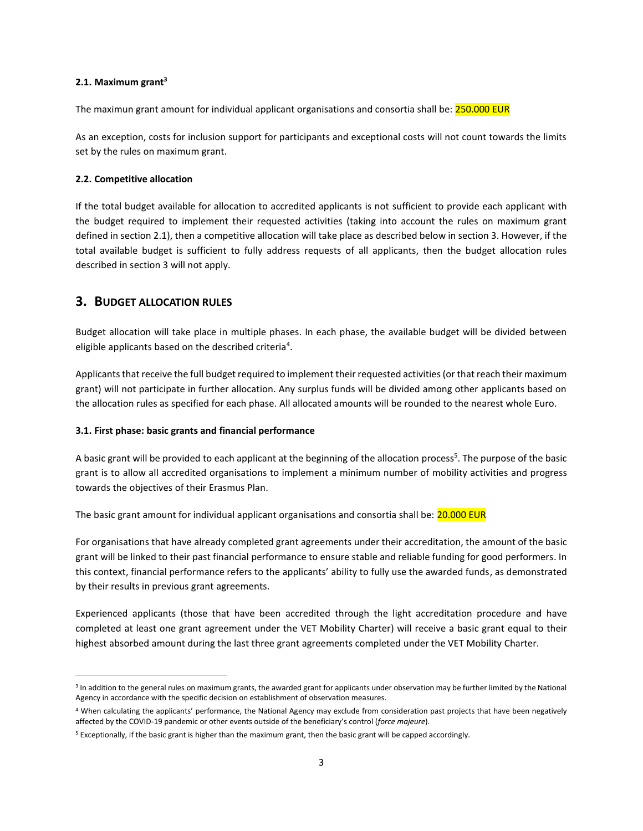#### **2.1. Maximum grant<sup>3</sup>**

The maximun grant amount for individual applicant organisations and consortia shall be: **250.000 EUR** 

As an exception, costs for inclusion support for participants and exceptional costs will not count towards the limits set by the rules on maximum grant.

#### **2.2. Competitive allocation**

If the total budget available for allocation to accredited applicants is not sufficient to provide each applicant with the budget required to implement their requested activities (taking into account the rules on maximum grant defined in section 2.1), then a competitive allocation will take place as described below in section 3. However, if the total available budget is sufficient to fully address requests of all applicants, then the budget allocation rules described in section 3 will not apply.

## **3. BUDGET ALLOCATION RULES**

Budget allocation will take place in multiple phases. In each phase, the available budget will be divided between eligible applicants based on the described criteria<sup>4</sup>.

Applicants that receive the full budget required to implement their requested activities (or that reach their maximum grant) will not participate in further allocation. Any surplus funds will be divided among other applicants based on the allocation rules as specified for each phase. All allocated amounts will be rounded to the nearest whole Euro.

#### **3.1. First phase: basic grants and financial performance**

A basic grant will be provided to each applicant at the beginning of the allocation process<sup>5</sup>. The purpose of the basic grant is to allow all accredited organisations to implement a minimum number of mobility activities and progress towards the objectives of their Erasmus Plan.

The basic grant amount for individual applicant organisations and consortia shall be: **20.000 EUR** 

For organisations that have already completed grant agreements under their accreditation, the amount of the basic grant will be linked to their past financial performance to ensure stable and reliable funding for good performers. In this context, financial performance refers to the applicants' ability to fully use the awarded funds, as demonstrated by their results in previous grant agreements.

Experienced applicants (those that have been accredited through the light accreditation procedure and have completed at least one grant agreement under the VET Mobility Charter) will receive a basic grant equal to their highest absorbed amount during the last three grant agreements completed under the VET Mobility Charter.

<sup>&</sup>lt;sup>3</sup> In addition to the general rules on maximum grants, the awarded grant for applicants under observation may be further limited by the National Agency in accordance with the specific decision on establishment of observation measures.

<sup>&</sup>lt;sup>4</sup> When calculating the applicants' performance, the National Agency may exclude from consideration past projects that have been negatively affected by the COVID-19 pandemic or other events outside of the beneficiary's control (*force majeure*).

<sup>5</sup> Exceptionally, if the basic grant is higher than the maximum grant, then the basic grant will be capped accordingly.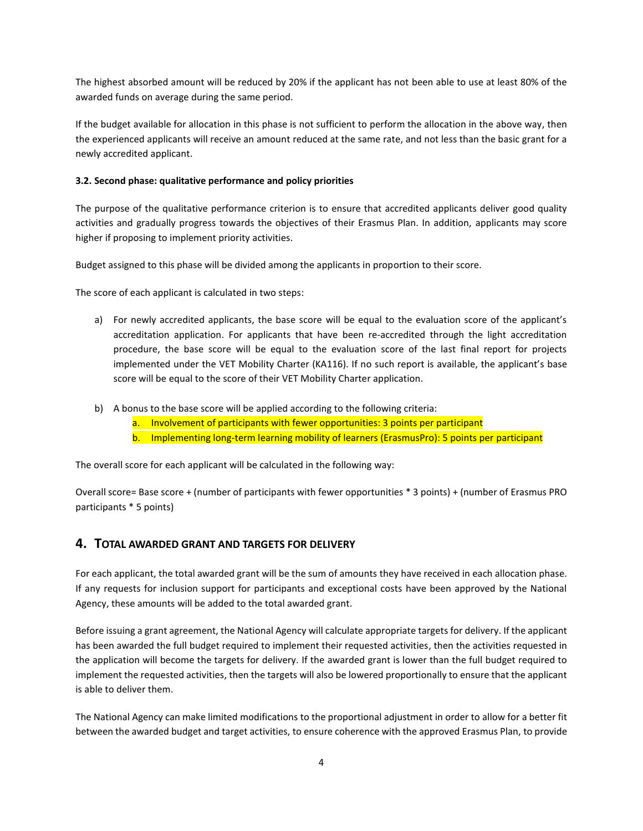The highest absorbed amount will be reduced by 20% if the applicant has not been able to use at least 80% of the awarded funds on average during the same period.

If the budget available for allocation in this phase is not sufficient to perform the allocation in the above way, then the experienced applicants will receive an amount reduced at the same rate, and not less than the basic grant for a newly accredited applicant.

### **3.2. Second phase: qualitative performance and policy priorities**

The purpose of the qualitative performance criterion is to ensure that accredited applicants deliver good quality activities and gradually progress towards the objectives of their Erasmus Plan. In addition, applicants may score higher if proposing to implement priority activities.

Budget assigned to this phase will be divided among the applicants in proportion to their score.

The score of each applicant is calculated in two steps:

- a) For newly accredited applicants, the base score will be equal to the evaluation score of the applicant's accreditation application. For applicants that have been re-accredited through the light accreditation procedure, the base score will be equal to the evaluation score of the last final report for projects implemented under the VET Mobility Charter (KA116). If no such report is available, the applicant's base score will be equal to the score of their VET Mobility Charter application.
- b) A bonus to the base score will be applied according to the following criteria:
	- a. Involvement of participants with fewer opportunities: 3 points per participant
	- b. Implementing long-term learning mobility of learners (ErasmusPro): 5 points per participant

The overall score for each applicant will be calculated in the following way:

Overall score= Base score + (number of participants with fewer opportunities \* 3 points) + (number of Erasmus PRO participants \* 5 points)

# **4. TOTAL AWARDED GRANT AND TARGETS FOR DELIVERY**

For each applicant, the total awarded grant will be the sum of amounts they have received in each allocation phase. If any requests for inclusion support for participants and exceptional costs have been approved by the National Agency, these amounts will be added to the total awarded grant.

Before issuing a grant agreement, the National Agency will calculate appropriate targets for delivery. If the applicant has been awarded the full budget required to implement their requested activities, then the activities requested in the application will become the targets for delivery. If the awarded grant is lower than the full budget required to implement the requested activities, then the targets will also be lowered proportionally to ensure that the applicant is able to deliver them.

The National Agency can make limited modifications to the proportional adjustment in order to allow for a better fit between the awarded budget and target activities, to ensure coherence with the approved Erasmus Plan, to provide